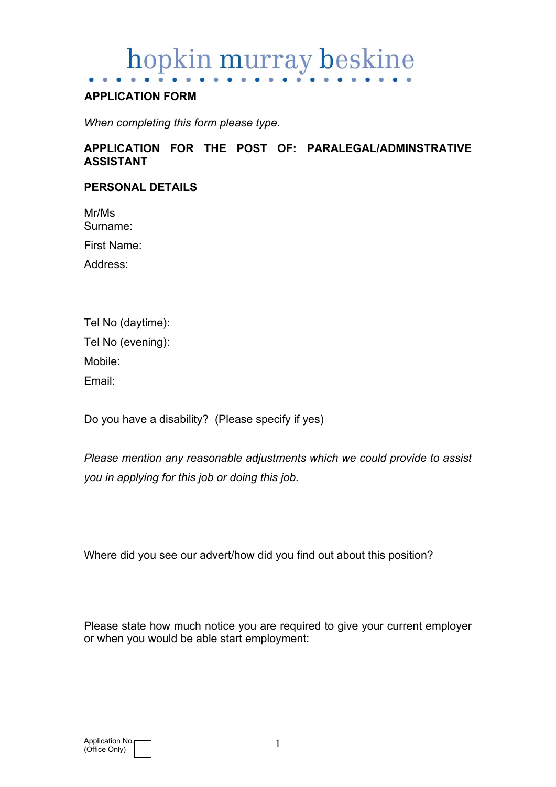# hopkin murray beskine

# **APPLICATION FORM**

*When completing this form please type.* 

## **APPLICATION FOR THE POST OF: PARALEGAL/ADMINSTRATIVE ASSISTANT**

#### **PERSONAL DETAILS**

Mr/Ms Surname:

First Name:

Address:

| Tel No (daytime):  |
|--------------------|
| Tel No (evening):  |
| Mobile:            |
| Fmail <sup>.</sup> |

Do you have a disability? (Please specify if yes)

*Please mention any reasonable adjustments which we could provide to assist you in applying for this job or doing this job.*

Where did you see our advert/how did you find out about this position?

Please state how much notice you are required to give your current employer or when you would be able start employment: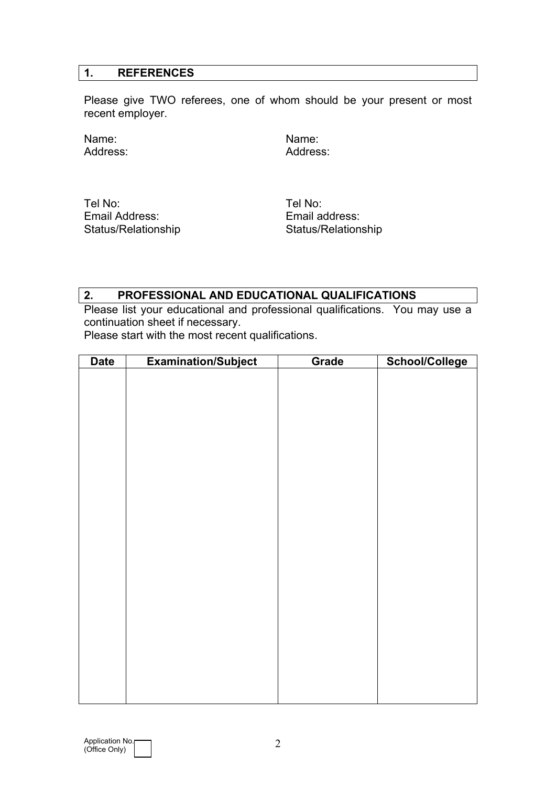## **1. REFERENCES**

Please give TWO referees, one of whom should be your present or most recent employer.

Address:

Name: Name: Name: Name: Name: Name: Name: Name: Name: Name: Name: Name: Name: Name: Name: Name: Name: Name: Name: Name: Name: Name: Name: Name: Name: Name: Name: Name: Name: Name: Name: Name: Name: Name: Name: Name: Name:

Tel No: Tel No: Email Address: Email address:

Status/Relationship Status/Relationship

# **2. PROFESSIONAL AND EDUCATIONAL QUALIFICATIONS**

Please list your educational and professional qualifications. You may use a continuation sheet if necessary.

Please start with the most recent qualifications.

| <b>Date</b> | <b>Examination/Subject</b> | Grade | <b>School/College</b> |
|-------------|----------------------------|-------|-----------------------|
|             |                            |       |                       |
|             |                            |       |                       |
|             |                            |       |                       |
|             |                            |       |                       |
|             |                            |       |                       |
|             |                            |       |                       |
|             |                            |       |                       |
|             |                            |       |                       |
|             |                            |       |                       |
|             |                            |       |                       |
|             |                            |       |                       |
|             |                            |       |                       |
|             |                            |       |                       |
|             |                            |       |                       |
|             |                            |       |                       |
|             |                            |       |                       |
|             |                            |       |                       |
|             |                            |       |                       |
|             |                            |       |                       |
|             |                            |       |                       |
|             |                            |       |                       |
|             |                            |       |                       |
|             |                            |       |                       |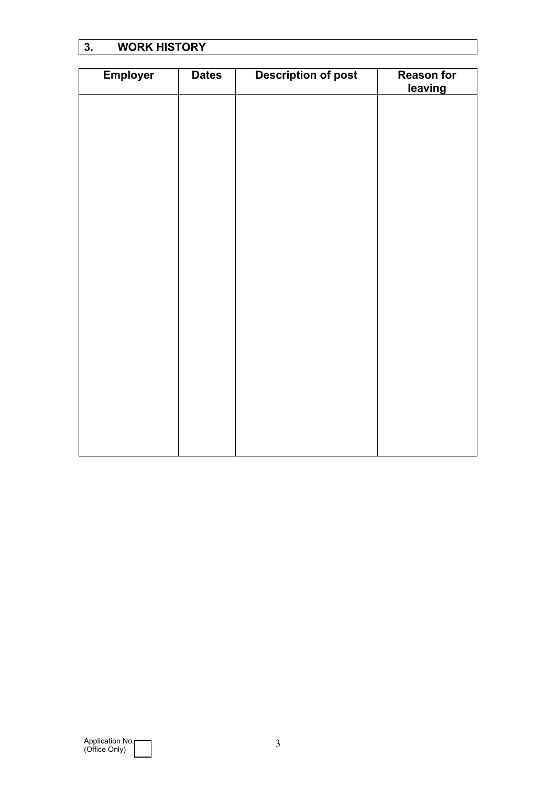# **3. WORK HISTORY**

| <b>Employer</b> | <b>Dates</b> | <b>Description of post</b> | <b>Reason for</b><br>leaving |
|-----------------|--------------|----------------------------|------------------------------|
|                 |              |                            |                              |
|                 |              |                            |                              |
|                 |              |                            |                              |
|                 |              |                            |                              |
|                 |              |                            |                              |
|                 |              |                            |                              |
|                 |              |                            |                              |
|                 |              |                            |                              |
|                 |              |                            |                              |
|                 |              |                            |                              |
|                 |              |                            |                              |
|                 |              |                            |                              |
|                 |              |                            |                              |
|                 |              |                            |                              |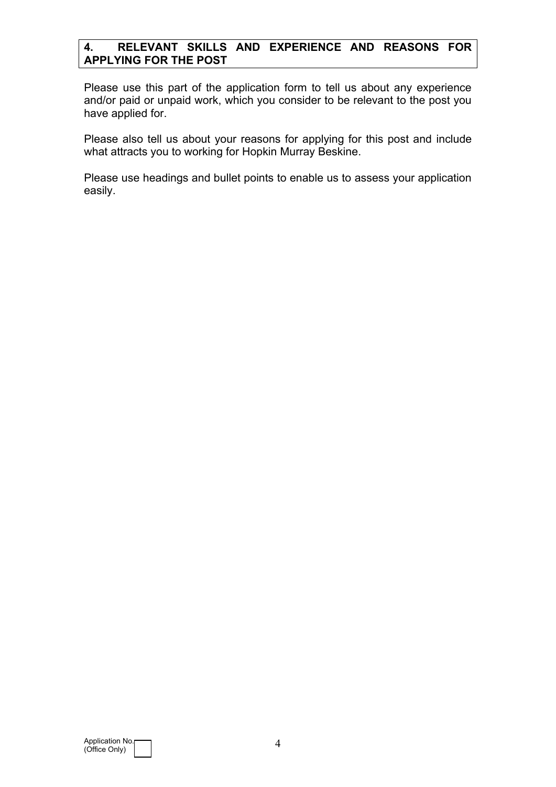# **4. RELEVANT SKILLS AND EXPERIENCE AND REASONS FOR APPLYING FOR THE POST**

Please use this part of the application form to tell us about any experience and/or paid or unpaid work, which you consider to be relevant to the post you have applied for.

Please also tell us about your reasons for applying for this post and include what attracts you to working for Hopkin Murray Beskine.

Please use headings and bullet points to enable us to assess your application easily.